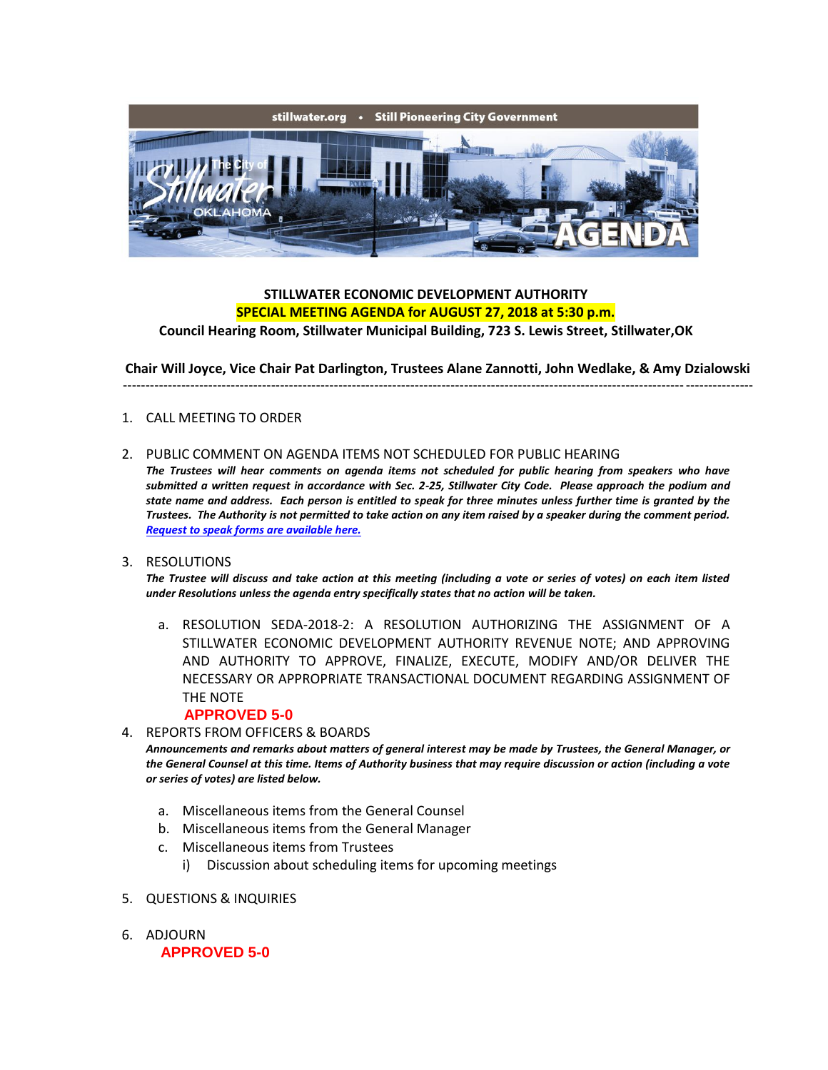

## **STILLWATER ECONOMIC DEVELOPMENT AUTHORITY SPECIAL MEETING AGENDA for AUGUST 27, 2018 at 5:30 p.m.**

**Council Hearing Room, Stillwater Municipal Building, 723 S. Lewis Street, Stillwater,OK**

**Chair Will Joyce, Vice Chair Pat Darlington, Trustees Alane Zannotti, John Wedlake, & Amy Dzialowski**

--------------------------------------------------------------------------------------------------------------------------------------------

## 1. CALL MEETING TO ORDER

2. PUBLIC COMMENT ON AGENDA ITEMS NOT SCHEDULED FOR PUBLIC HEARING

*The Trustees will hear comments on agenda items not scheduled for public hearing from speakers who have submitted a written request in accordance with Sec. 2-25, Stillwater City Code. Please approach the podium and state name and address. Each person is entitled to speak for three minutes unless further time is granted by the Trustees. The Authority is not permitted to take action on any item raised by a speaker during the comment period. [Request to speak forms are available here.](http://stillwater.org/document/request_to_speak_at_city_council.php)*

3. RESOLUTIONS

*The Trustee will discuss and take action at this meeting (including a vote or series of votes) on each item listed under Resolutions unless the agenda entry specifically states that no action will be taken.*

a. RESOLUTION SEDA-2018-2: A RESOLUTION AUTHORIZING THE ASSIGNMENT OF A STILLWATER ECONOMIC DEVELOPMENT AUTHORITY REVENUE NOTE; AND APPROVING AND AUTHORITY TO APPROVE, FINALIZE, EXECUTE, MODIFY AND/OR DELIVER THE NECESSARY OR APPROPRIATE TRANSACTIONAL DOCUMENT REGARDING ASSIGNMENT OF THE NOTE

## **APPROVED 5-0**

- 4. REPORTS FROM OFFICERS & BOARDS *Announcements and remarks about matters of general interest may be made by Trustees, the General Manager, or the General Counsel at this time. Items of Authority business that may require discussion or action (including a vote or series of votes) are listed below.*
	- a. Miscellaneous items from the General Counsel
	- b. Miscellaneous items from the General Manager
	- c. Miscellaneous items from Trustees
		- i) Discussion about scheduling items for upcoming meetings
- 5. QUESTIONS & INQUIRIES
- 6. ADJOURN **APPROVED 5-0**